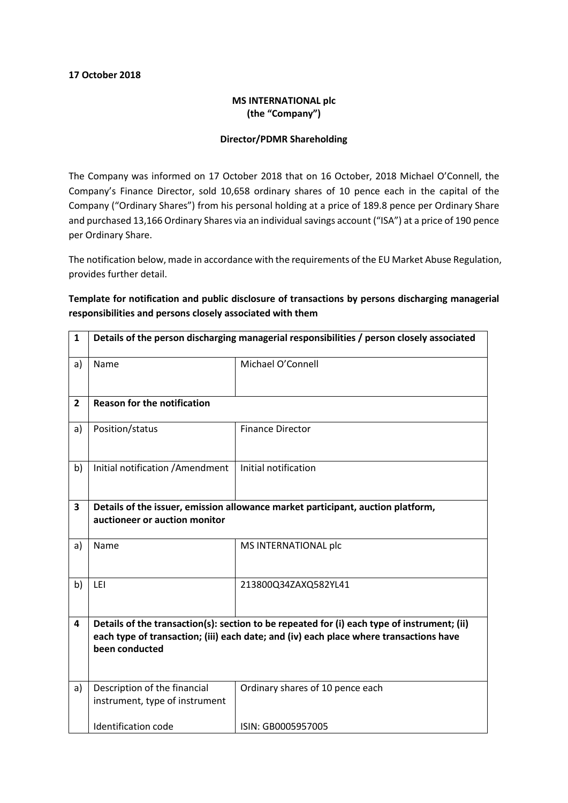## 17 October 2018

## MS INTERNATIONAL plc (the "Company")

## Director/PDMR Shareholding

The Company was informed on 17 October 2018 that on 16 October, 2018 Michael O'Connell, the Company's Finance Director, sold 10,658 ordinary shares of 10 pence each in the capital of the Company ("Ordinary Shares") from his personal holding at a price of 189.8 pence per Ordinary Share and purchased 13,166 Ordinary Shares via an individual savings account ("ISA") at a price of 190 pence per Ordinary Share.

The notification below, made in accordance with the requirements of the EU Market Abuse Regulation, provides further detail.

Template for notification and public disclosure of transactions by persons discharging managerial responsibilities and persons closely associated with them

| 1              | Details of the person discharging managerial responsibilities / person closely associated                                                                                                               |                                  |  |
|----------------|---------------------------------------------------------------------------------------------------------------------------------------------------------------------------------------------------------|----------------------------------|--|
| a)             | Name                                                                                                                                                                                                    | Michael O'Connell                |  |
| $\overline{2}$ | <b>Reason for the notification</b>                                                                                                                                                                      |                                  |  |
| a)             | Position/status                                                                                                                                                                                         | <b>Finance Director</b>          |  |
| b)             | Initial notification / Amendment                                                                                                                                                                        | Initial notification             |  |
| 3              | Details of the issuer, emission allowance market participant, auction platform,<br>auctioneer or auction monitor                                                                                        |                                  |  |
| a)             | Name                                                                                                                                                                                                    | MS INTERNATIONAL plc             |  |
| b)             | LEI                                                                                                                                                                                                     | 213800Q34ZAXQ582YL41             |  |
| 4              | Details of the transaction(s): section to be repeated for (i) each type of instrument; (ii)<br>each type of transaction; (iii) each date; and (iv) each place where transactions have<br>been conducted |                                  |  |
| a)             | Description of the financial<br>instrument, type of instrument                                                                                                                                          | Ordinary shares of 10 pence each |  |
|                | Identification code                                                                                                                                                                                     | ISIN: GB0005957005               |  |